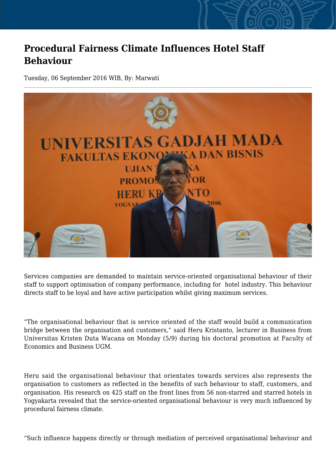## **Procedural Fairness Climate Influences Hotel Staff Behaviour**

Tuesday, 06 September 2016 WIB, By: Marwati



Services companies are demanded to maintain service-oriented organisational behaviour of their staff to support optimisation of company performance, including for hotel industry. This behaviour directs staff to be loyal and have active participation whilst giving maximum services.

"The organisational behaviour that is service oriented of the staff would build a communication bridge between the organisation and customers," said Heru Kristanto, lecturer in Business from Universitas Kristen Duta Wacana on Monday (5/9) during his doctoral promotion at Faculty of Economics and Business UGM.

Heru said the organisational behaviour that orientates towards services also represents the organisation to customers as reflected in the benefits of such behaviour to staff, customers, and organisation. His research on 425 staff on the front lines from 56 non-starred and starred hotels in Yogyakarta revealed that the service-oriented organisational behaviour is very much influenced by procedural fairness climate.

"Such influence happens directly or through mediation of perceived organisational behaviour and